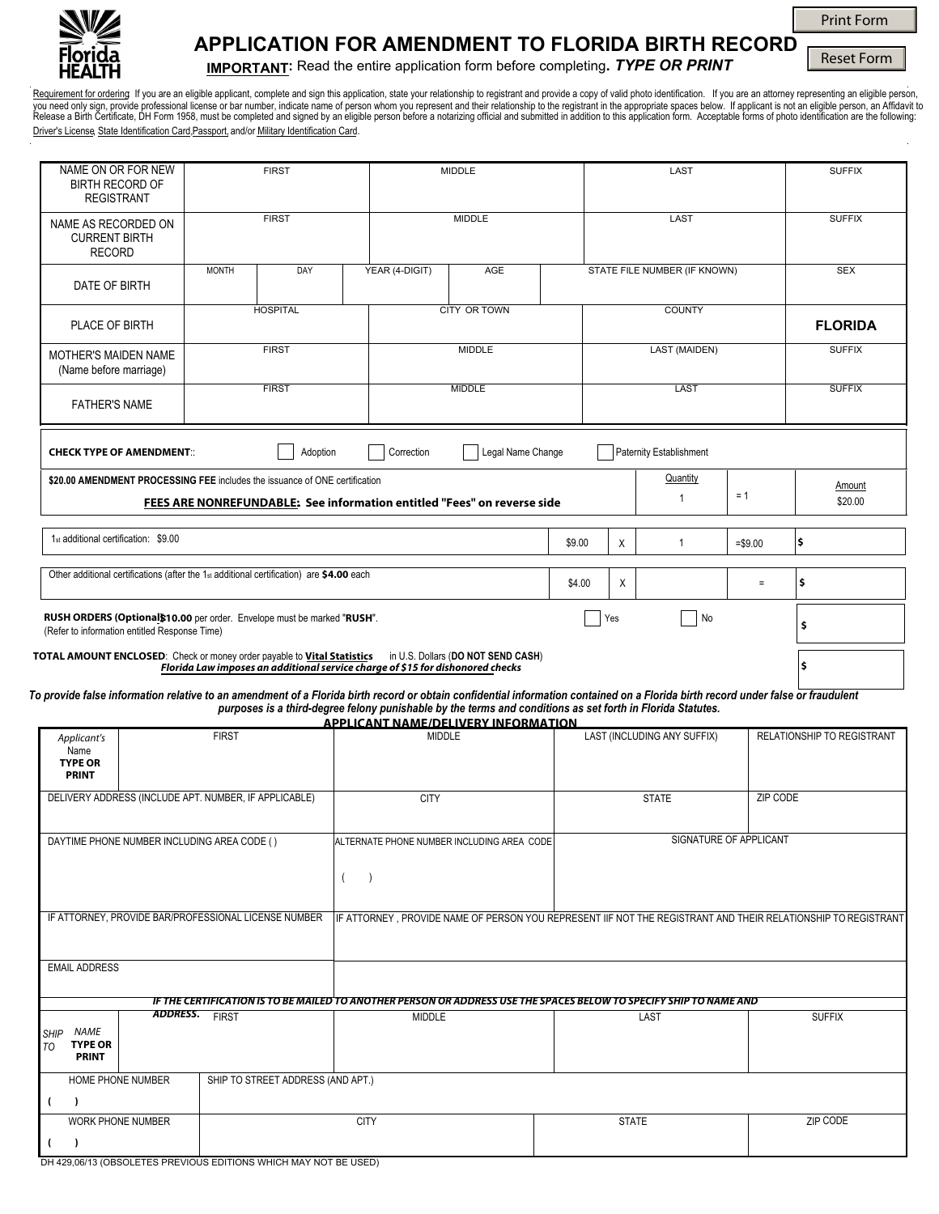

# **APPLICATION FOR AMENDMENT TO FLORIDA BIRTH RECORD**

**IMPORTANT:** Read the entire application form before completing**.** *TYPE OR PRINT* 

Reset Form

Print Form

<u>Requirement for orderin</u>g If you are an eligible applicant, complete and sign this application, state your relationship to registrant and provide a copy of valid photo identification. If you are an attorney representing a Driver's License, State Identification Card, Passport, and/or Military Identification Card.

| NAME ON OR FOR NEW<br><b>BIRTH RECORD OF</b><br><b>REGISTRANT</b>                                                                                                                |                       | <b>FIRST</b>                      | MIDDLE                                                                                                                                                   |                   |        | LAST                        |                                |                            | <b>SUFFIX</b>                                                                                                 |
|----------------------------------------------------------------------------------------------------------------------------------------------------------------------------------|-----------------------|-----------------------------------|----------------------------------------------------------------------------------------------------------------------------------------------------------|-------------------|--------|-----------------------------|--------------------------------|----------------------------|---------------------------------------------------------------------------------------------------------------|
| NAME AS RECORDED ON<br><b>CURRENT BIRTH</b><br><b>RECORD</b>                                                                                                                     |                       | <b>FIRST</b>                      | <b>MIDDLE</b>                                                                                                                                            |                   |        | LAST                        |                                |                            | <b>SUFFIX</b>                                                                                                 |
| DATE OF BIRTH                                                                                                                                                                    | <b>MONTH</b>          | DAY                               | YEAR (4-DIGIT)                                                                                                                                           | <b>AGE</b>        |        |                             | STATE FILE NUMBER (IF KNOWN)   |                            | <b>SEX</b>                                                                                                    |
| PLACE OF BIRTH                                                                                                                                                                   |                       | <b>HOSPITAL</b>                   | <b>CITY OR TOWN</b>                                                                                                                                      |                   |        | <b>COUNTY</b>               |                                |                            | <b>FLORIDA</b>                                                                                                |
| MOTHER'S MAIDEN NAME<br>(Name before marriage)                                                                                                                                   |                       | <b>FIRST</b>                      | <b>MIDDLE</b>                                                                                                                                            |                   |        | LAST (MAIDEN)               |                                |                            | <b>SUFFIX</b>                                                                                                 |
| <b>FATHER'S NAME</b>                                                                                                                                                             |                       | <b>FIRST</b>                      | <b>MIDDLE</b>                                                                                                                                            |                   |        | LAST                        |                                |                            | <b>SUFFIX</b>                                                                                                 |
| <b>CHECK TYPE OF AMENDMENT::</b>                                                                                                                                                 |                       | Adoption                          | Correction                                                                                                                                               | Legal Name Change |        |                             | <b>Paternity Establishment</b> |                            |                                                                                                               |
| \$20.00 AMENDMENT PROCESSING FEE includes the issuance of ONE certification                                                                                                      |                       |                                   | FEES ARE NONREFUNDABLE: See information entitled "Fees" on reverse side                                                                                  |                   |        |                             | Quantity<br>$\mathbf{1}$       | $= 1$                      | Amount<br>\$20.00                                                                                             |
| 1 <sub>st</sub> additional certification: \$9.00                                                                                                                                 |                       |                                   |                                                                                                                                                          |                   | \$9.00 | Χ                           | $\mathbf{1}$                   | $= $9.00$                  | \$                                                                                                            |
| Other additional certifications (after the 1st additional certification) are \$4.00 each                                                                                         |                       |                                   |                                                                                                                                                          | \$4.00            | X      |                             | $=$                            | \$                         |                                                                                                               |
| RUSH ORDERS (Optional \$10.00 per order. Envelope must be marked "RUSH".<br>(Refer to information entitled Response Time)                                                        |                       | No<br>Yes                         |                                                                                                                                                          |                   | \$     |                             |                                |                            |                                                                                                               |
| <b>TOTAL AMOUNT ENCLOSED:</b> Check or money order payable to Vital Statistics in U.S. Dollars (DO NOT SEND CASH)                                                                |                       |                                   | Florida Law imposes an additional service charge of \$15 for dishonored checks                                                                           |                   |        |                             |                                |                            | \$                                                                                                            |
| To provide false information relative to an amendment of a Florida birth record or obtain confidential information contained on a Florida birth record under false or fraudulent |                       |                                   | purposes is a third-degree felony punishable by the terms and conditions as set forth in Florida Statutes.<br><b>APPLICANT NAME/DELIVERY INFORMATION</b> |                   |        |                             |                                |                            |                                                                                                               |
| Applicant's<br>Name<br><b>TYPE OR</b><br><b>PRINT</b>                                                                                                                            | <b>FIRST</b>          |                                   | <b>MIDDLE</b>                                                                                                                                            |                   |        | LAST (INCLUDING ANY SUFFIX) |                                | RELATIONSHIP TO REGISTRANT |                                                                                                               |
| DELIVERY ADDRESS (INCLUDE APT. NUMBER, IF APPLICABLE)                                                                                                                            |                       |                                   | <b>CITY</b>                                                                                                                                              |                   |        | <b>STATE</b>                |                                |                            | <b>ZIP CODE</b>                                                                                               |
| DAYTIME PHONE NUMBER INCLUDING AREA CODE ()                                                                                                                                      |                       |                                   | ALTERNATE PHONE NUMBER INCLUDING AREA CODE                                                                                                               |                   |        |                             |                                | SIGNATURE OF APPLICANT     |                                                                                                               |
| IF ATTORNEY, PROVIDE BAR/PROFESSIONAL LICENSE NUMBER                                                                                                                             |                       |                                   |                                                                                                                                                          |                   |        |                             |                                |                            | IF ATTORNEY, PROVIDE NAME OF PERSON YOU REPRESENT IIF NOT THE REGISTRANT AND THEIR RELATIONSHIP TO REGISTRANT |
| <b>EMAIL ADDRESS</b>                                                                                                                                                             |                       |                                   |                                                                                                                                                          |                   |        |                             |                                |                            |                                                                                                               |
|                                                                                                                                                                                  |                       |                                   | IF THE CERTIFICATION IS TO BE MAILED TO ANOTHER PERSON OR ADDRESS USE THE SPACES BELOW TO SPECIFY SHIP TO NAME AND                                       |                   |        |                             |                                |                            |                                                                                                               |
| NAME<br><b>SHIP</b><br><b>TYPE OR</b><br>TO.<br><b>PRINT</b>                                                                                                                     | <b>ADDRESS.</b> FIRST |                                   | <b>MIDDLE</b>                                                                                                                                            |                   |        |                             | LAST                           |                            | <b>SUFFIX</b>                                                                                                 |
| HOME PHONE NUMBER                                                                                                                                                                |                       | SHIP TO STREET ADDRESS (AND APT.) |                                                                                                                                                          |                   |        |                             |                                |                            |                                                                                                               |

CITY STATE ZIP CODE

WORK PHONE NUMBER

**( )**